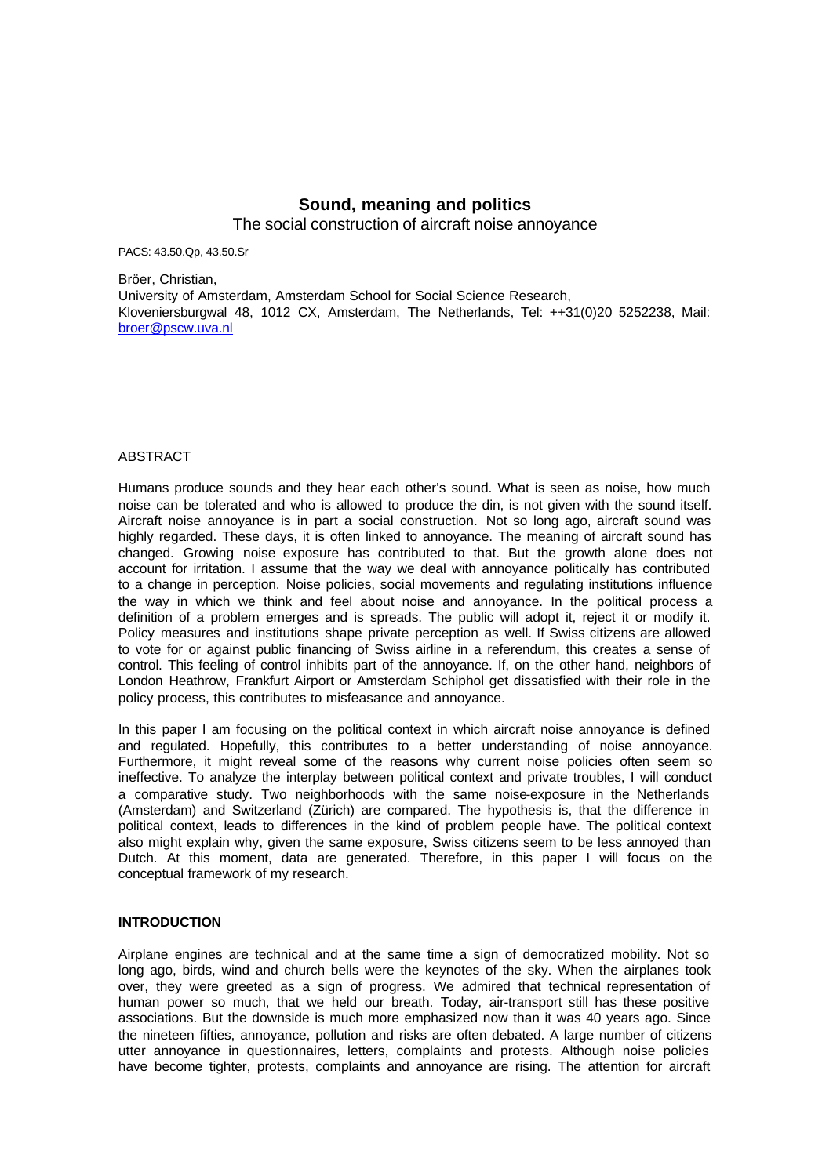# **Sound, meaning and politics**

The social construction of aircraft noise annoyance

PACS: 43.50.Qp, 43.50.Sr

Bröer, Christian, University of Amsterdam, Amsterdam School for Social Science Research, Kloveniersburgwal 48, 1012 CX, Amsterdam, The Netherlands, Tel: ++31(0)20 5252238, Mail: broer@pscw.uva.nl

## ABSTRACT

Humans produce sounds and they hear each other's sound. What is seen as noise, how much noise can be tolerated and who is allowed to produce the din, is not given with the sound itself. Aircraft noise annoyance is in part a social construction. Not so long ago, aircraft sound was highly regarded. These days, it is often linked to annoyance. The meaning of aircraft sound has changed. Growing noise exposure has contributed to that. But the growth alone does not account for irritation. I assume that the way we deal with annoyance politically has contributed to a change in perception. Noise policies, social movements and regulating institutions influence the way in which we think and feel about noise and annoyance. In the political process a definition of a problem emerges and is spreads. The public will adopt it, reject it or modify it. Policy measures and institutions shape private perception as well. If Swiss citizens are allowed to vote for or against public financing of Swiss airline in a referendum, this creates a sense of control. This feeling of control inhibits part of the annoyance. If, on the other hand, neighbors of London Heathrow, Frankfurt Airport or Amsterdam Schiphol get dissatisfied with their role in the policy process, this contributes to misfeasance and annoyance.

In this paper I am focusing on the political context in which aircraft noise annoyance is defined and regulated. Hopefully, this contributes to a better understanding of noise annoyance. Furthermore, it might reveal some of the reasons why current noise policies often seem so ineffective. To analyze the interplay between political context and private troubles, I will conduct a comparative study. Two neighborhoods with the same noise-exposure in the Netherlands (Amsterdam) and Switzerland (Zürich) are compared. The hypothesis is, that the difference in political context, leads to differences in the kind of problem people have. The political context also might explain why, given the same exposure, Swiss citizens seem to be less annoyed than Dutch. At this moment, data are generated. Therefore, in this paper I will focus on the conceptual framework of my research.

### **INTRODUCTION**

Airplane engines are technical and at the same time a sign of democratized mobility. Not so long ago, birds, wind and church bells were the keynotes of the sky. When the airplanes took over, they were greeted as a sign of progress. We admired that technical representation of human power so much, that we held our breath. Today, air-transport still has these positive associations. But the downside is much more emphasized now than it was 40 years ago. Since the nineteen fifties, annoyance, pollution and risks are often debated. A large number of citizens utter annoyance in questionnaires, letters, complaints and protests. Although noise policies have become tighter, protests, complaints and annoyance are rising. The attention for aircraft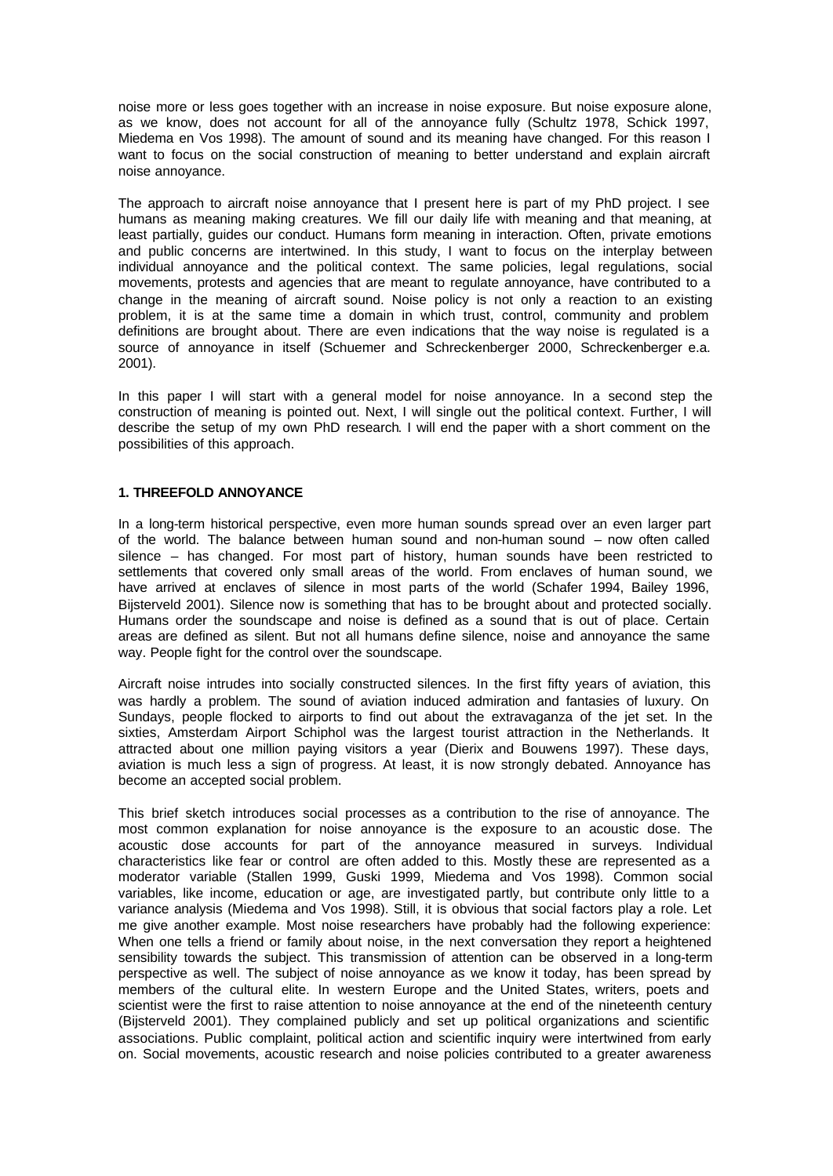noise more or less goes together with an increase in noise exposure. But noise exposure alone, as we know, does not account for all of the annoyance fully (Schultz 1978, Schick 1997, Miedema en Vos 1998). The amount of sound and its meaning have changed. For this reason I want to focus on the social construction of meaning to better understand and explain aircraft noise annoyance.

The approach to aircraft noise annoyance that I present here is part of my PhD project. I see humans as meaning making creatures. We fill our daily life with meaning and that meaning, at least partially, guides our conduct. Humans form meaning in interaction. Often, private emotions and public concerns are intertwined. In this study, I want to focus on the interplay between individual annoyance and the political context. The same policies, legal regulations, social movements, protests and agencies that are meant to regulate annoyance, have contributed to a change in the meaning of aircraft sound. Noise policy is not only a reaction to an existing problem, it is at the same time a domain in which trust, control, community and problem definitions are brought about. There are even indications that the way noise is regulated is a source of annoyance in itself (Schuemer and Schreckenberger 2000, Schreckenberger e.a. 2001).

In this paper I will start with a general model for noise annoyance. In a second step the construction of meaning is pointed out. Next, I will single out the political context. Further, I will describe the setup of my own PhD research. I will end the paper with a short comment on the possibilities of this approach.

### **1. THREEFOLD ANNOYANCE**

In a long-term historical perspective, even more human sounds spread over an even larger part of the world. The balance between human sound and non-human sound – now often called silence – has changed. For most part of history, human sounds have been restricted to settlements that covered only small areas of the world. From enclaves of human sound, we have arrived at enclaves of silence in most parts of the world (Schafer 1994, Bailey 1996, Bijsterveld 2001). Silence now is something that has to be brought about and protected socially. Humans order the soundscape and noise is defined as a sound that is out of place. Certain areas are defined as silent. But not all humans define silence, noise and annoyance the same way. People fight for the control over the soundscape.

Aircraft noise intrudes into socially constructed silences. In the first fifty years of aviation, this was hardly a problem. The sound of aviation induced admiration and fantasies of luxury. On Sundays, people flocked to airports to find out about the extravaganza of the jet set. In the sixties, Amsterdam Airport Schiphol was the largest tourist attraction in the Netherlands. It attracted about one million paying visitors a year (Dierix and Bouwens 1997). These days, aviation is much less a sign of progress. At least, it is now strongly debated. Annoyance has become an accepted social problem.

This brief sketch introduces social processes as a contribution to the rise of annoyance. The most common explanation for noise annoyance is the exposure to an acoustic dose. The acoustic dose accounts for part of the annoyance measured in surveys. Individual characteristics like fear or control are often added to this. Mostly these are represented as a moderator variable (Stallen 1999, Guski 1999, Miedema and Vos 1998). Common social variables, like income, education or age, are investigated partly, but contribute only little to a variance analysis (Miedema and Vos 1998). Still, it is obvious that social factors play a role. Let me give another example. Most noise researchers have probably had the following experience: When one tells a friend or family about noise, in the next conversation they report a heightened sensibility towards the subject. This transmission of attention can be observed in a long-term perspective as well. The subject of noise annoyance as we know it today, has been spread by members of the cultural elite. In western Europe and the United States, writers, poets and scientist were the first to raise attention to noise annoyance at the end of the nineteenth century (Bijsterveld 2001). They complained publicly and set up political organizations and scientific associations. Public complaint, political action and scientific inquiry were intertwined from early on. Social movements, acoustic research and noise policies contributed to a greater awareness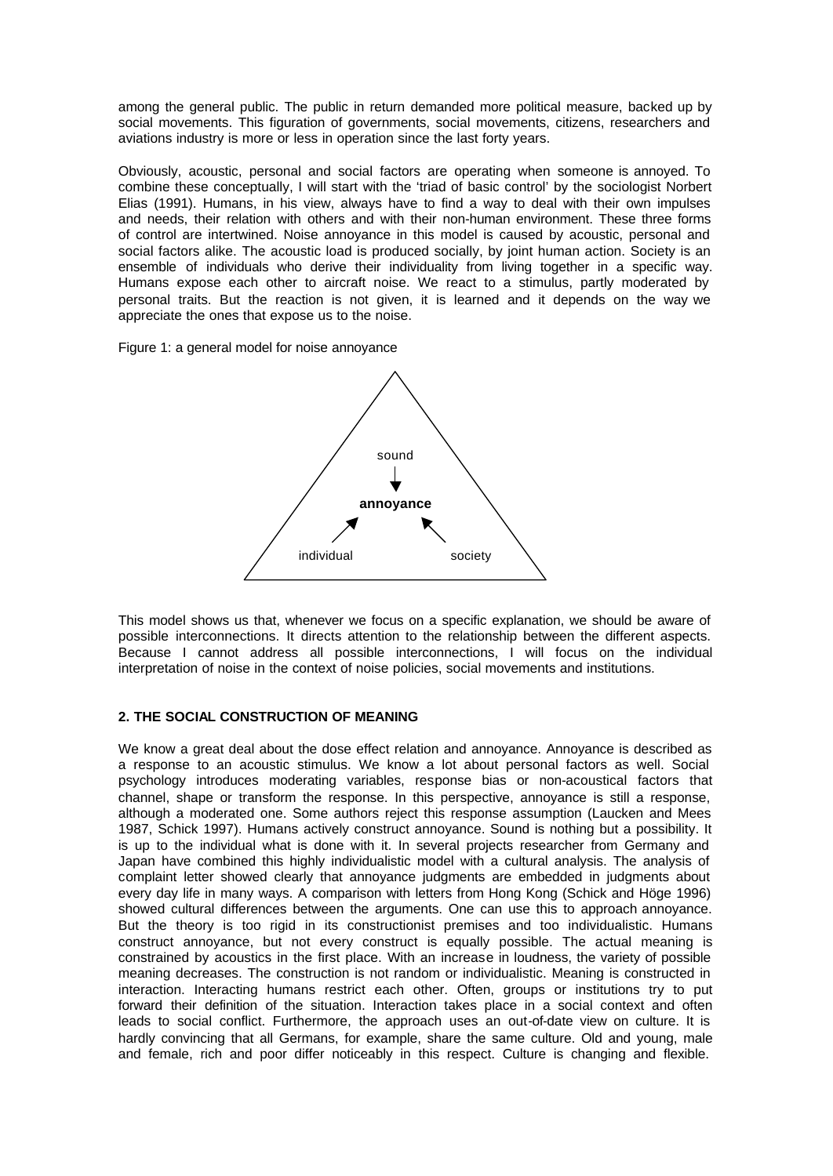among the general public. The public in return demanded more political measure, backed up by social movements. This figuration of governments, social movements, citizens, researchers and aviations industry is more or less in operation since the last forty years.

Obviously, acoustic, personal and social factors are operating when someone is annoyed. To combine these conceptually, I will start with the 'triad of basic control' by the sociologist Norbert Elias (1991). Humans, in his view, always have to find a way to deal with their own impulses and needs, their relation with others and with their non-human environment. These three forms of control are intertwined. Noise annoyance in this model is caused by acoustic, personal and social factors alike. The acoustic load is produced socially, by joint human action. Society is an ensemble of individuals who derive their individuality from living together in a specific way. Humans expose each other to aircraft noise. We react to a stimulus, partly moderated by personal traits. But the reaction is not given, it is learned and it depends on the way we appreciate the ones that expose us to the noise.

Figure 1: a general model for noise annoyance



This model shows us that, whenever we focus on a specific explanation, we should be aware of possible interconnections. It directs attention to the relationship between the different aspects. Because I cannot address all possible interconnections, I will focus on the individual interpretation of noise in the context of noise policies, social movements and institutions.

### **2. THE SOCIAL CONSTRUCTION OF MEANING**

We know a great deal about the dose effect relation and annoyance. Annoyance is described as a response to an acoustic stimulus. We know a lot about personal factors as well. Social psychology introduces moderating variables, response bias or non-acoustical factors that channel, shape or transform the response. In this perspective, annoyance is still a response, although a moderated one. Some authors reject this response assumption (Laucken and Mees 1987, Schick 1997). Humans actively construct annoyance. Sound is nothing but a possibility. It is up to the individual what is done with it. In several projects researcher from Germany and Japan have combined this highly individualistic model with a cultural analysis. The analysis of complaint letter showed clearly that annoyance judgments are embedded in judgments about every day life in many ways. A comparison with letters from Hong Kong (Schick and Höge 1996) showed cultural differences between the arguments. One can use this to approach annoyance. But the theory is too rigid in its constructionist premises and too individualistic. Humans construct annoyance, but not every construct is equally possible. The actual meaning is constrained by acoustics in the first place. With an increase in loudness, the variety of possible meaning decreases. The construction is not random or individualistic. Meaning is constructed in interaction. Interacting humans restrict each other. Often, groups or institutions try to put forward their definition of the situation. Interaction takes place in a social context and often leads to social conflict. Furthermore, the approach uses an out-of-date view on culture. It is hardly convincing that all Germans, for example, share the same culture. Old and young, male and female, rich and poor differ noticeably in this respect. Culture is changing and flexible.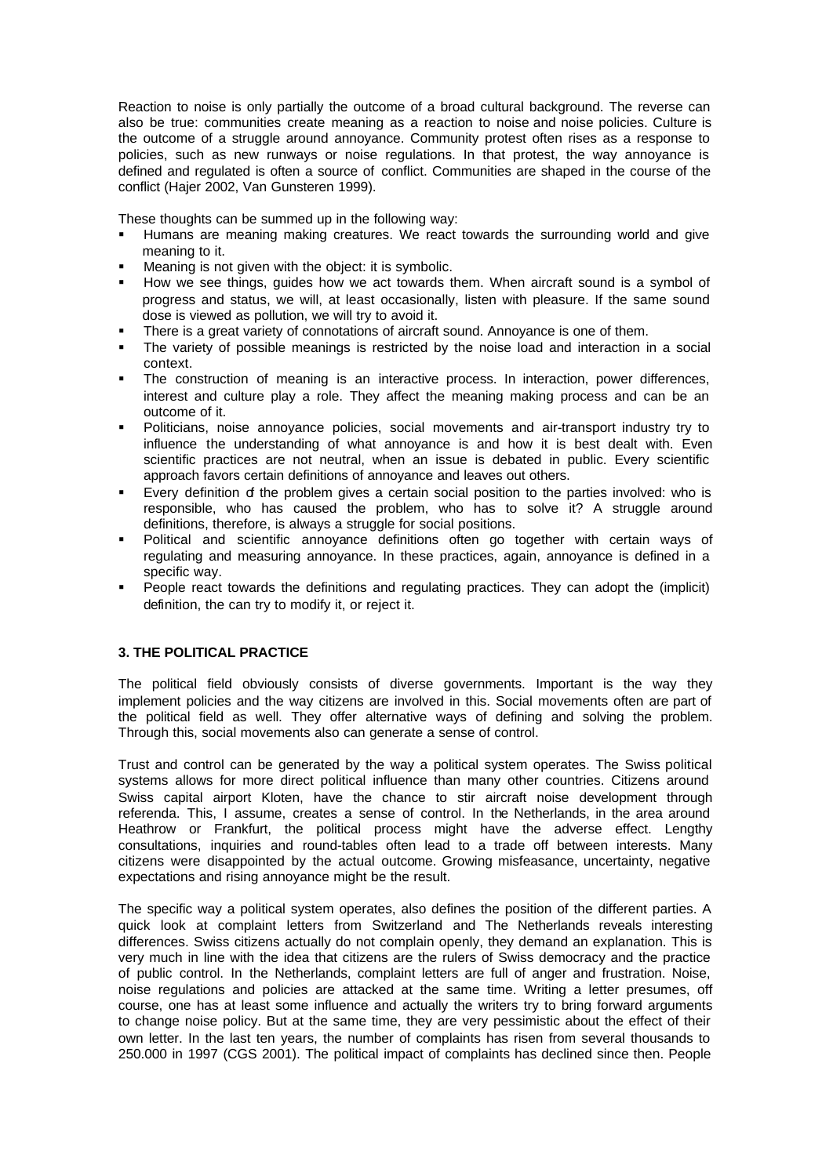Reaction to noise is only partially the outcome of a broad cultural background. The reverse can also be true: communities create meaning as a reaction to noise and noise policies. Culture is the outcome of a struggle around annoyance. Community protest often rises as a response to policies, such as new runways or noise regulations. In that protest, the way annoyance is defined and regulated is often a source of conflict. Communities are shaped in the course of the conflict (Hajer 2002, Van Gunsteren 1999).

These thoughts can be summed up in the following way:

- ß Humans are meaning making creatures. We react towards the surrounding world and give meaning to it.
- Meaning is not given with the object: it is symbolic.
- ß How we see things, guides how we act towards them. When aircraft sound is a symbol of progress and status, we will, at least occasionally, listen with pleasure. If the same sound dose is viewed as pollution, we will try to avoid it.
- ß There is a great variety of connotations of aircraft sound. Annoyance is one of them.
- The variety of possible meanings is restricted by the noise load and interaction in a social context.
- ß The construction of meaning is an interactive process. In interaction, power differences, interest and culture play a role. They affect the meaning making process and can be an outcome of it.
- ß Politicians, noise annoyance policies, social movements and air-transport industry try to influence the understanding of what annoyance is and how it is best dealt with. Even scientific practices are not neutral, when an issue is debated in public. Every scientific approach favors certain definitions of annoyance and leaves out others.
- Every definition of the problem gives a certain social position to the parties involved: who is responsible, who has caused the problem, who has to solve it? A struggle around definitions, therefore, is always a struggle for social positions.
- ß Political and scientific annoyance definitions often go together with certain ways of regulating and measuring annoyance. In these practices, again, annoyance is defined in a specific way.
- People react towards the definitions and regulating practices. They can adopt the (implicit) definition, the can try to modify it, or reject it.

# **3. THE POLITICAL PRACTICE**

The political field obviously consists of diverse governments. Important is the way they implement policies and the way citizens are involved in this. Social movements often are part of the political field as well. They offer alternative ways of defining and solving the problem. Through this, social movements also can generate a sense of control.

Trust and control can be generated by the way a political system operates. The Swiss political systems allows for more direct political influence than many other countries. Citizens around Swiss capital airport Kloten, have the chance to stir aircraft noise development through referenda. This, I assume, creates a sense of control. In the Netherlands, in the area around Heathrow or Frankfurt, the political process might have the adverse effect. Lengthy consultations, inquiries and round-tables often lead to a trade off between interests. Many citizens were disappointed by the actual outcome. Growing misfeasance, uncertainty, negative expectations and rising annoyance might be the result.

The specific way a political system operates, also defines the position of the different parties. A quick look at complaint letters from Switzerland and The Netherlands reveals interesting differences. Swiss citizens actually do not complain openly, they demand an explanation. This is very much in line with the idea that citizens are the rulers of Swiss democracy and the practice of public control. In the Netherlands, complaint letters are full of anger and frustration. Noise, noise regulations and policies are attacked at the same time. Writing a letter presumes, off course, one has at least some influence and actually the writers try to bring forward arguments to change noise policy. But at the same time, they are very pessimistic about the effect of their own letter. In the last ten years, the number of complaints has risen from several thousands to 250.000 in 1997 (CGS 2001). The political impact of complaints has declined since then. People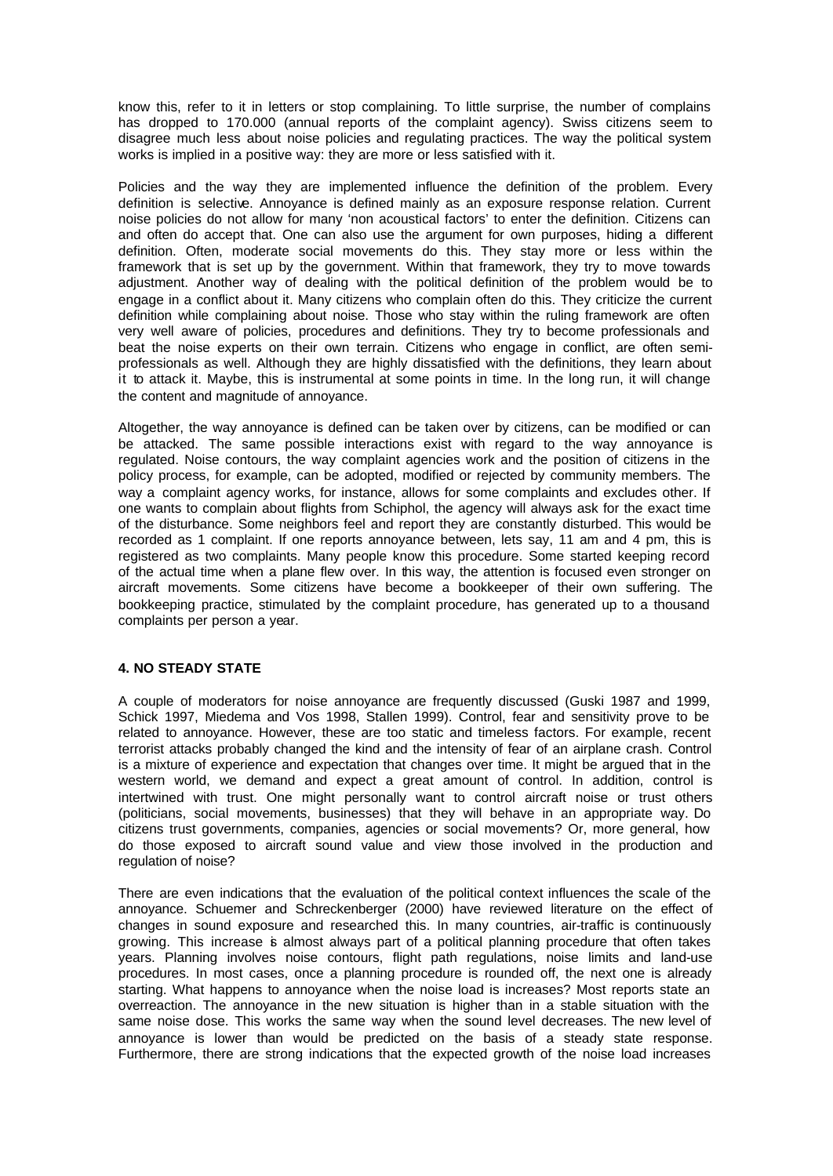know this, refer to it in letters or stop complaining. To little surprise, the number of complains has dropped to 170.000 (annual reports of the complaint agency). Swiss citizens seem to disagree much less about noise policies and regulating practices. The way the political system works is implied in a positive way: they are more or less satisfied with it.

Policies and the way they are implemented influence the definition of the problem. Every definition is selective. Annoyance is defined mainly as an exposure response relation. Current noise policies do not allow for many 'non acoustical factors' to enter the definition. Citizens can and often do accept that. One can also use the argument for own purposes, hiding a different definition. Often, moderate social movements do this. They stay more or less within the framework that is set up by the government. Within that framework, they try to move towards adjustment. Another way of dealing with the political definition of the problem would be to engage in a conflict about it. Many citizens who complain often do this. They criticize the current definition while complaining about noise. Those who stay within the ruling framework are often very well aware of policies, procedures and definitions. They try to become professionals and beat the noise experts on their own terrain. Citizens who engage in conflict, are often semiprofessionals as well. Although they are highly dissatisfied with the definitions, they learn about it to attack it. Maybe, this is instrumental at some points in time. In the long run, it will change the content and magnitude of annoyance.

Altogether, the way annoyance is defined can be taken over by citizens, can be modified or can be attacked. The same possible interactions exist with regard to the way annoyance is regulated. Noise contours, the way complaint agencies work and the position of citizens in the policy process, for example, can be adopted, modified or rejected by community members. The way a complaint agency works, for instance, allows for some complaints and excludes other. If one wants to complain about flights from Schiphol, the agency will always ask for the exact time of the disturbance. Some neighbors feel and report they are constantly disturbed. This would be recorded as 1 complaint. If one reports annoyance between, lets say, 11 am and 4 pm, this is registered as two complaints. Many people know this procedure. Some started keeping record of the actual time when a plane flew over. In this way, the attention is focused even stronger on aircraft movements. Some citizens have become a bookkeeper of their own suffering. The bookkeeping practice, stimulated by the complaint procedure, has generated up to a thousand complaints per person a year.

## **4. NO STEADY STATE**

A couple of moderators for noise annoyance are frequently discussed (Guski 1987 and 1999, Schick 1997, Miedema and Vos 1998, Stallen 1999). Control, fear and sensitivity prove to be related to annoyance. However, these are too static and timeless factors. For example, recent terrorist attacks probably changed the kind and the intensity of fear of an airplane crash. Control is a mixture of experience and expectation that changes over time. It might be argued that in the western world, we demand and expect a great amount of control. In addition, control is intertwined with trust. One might personally want to control aircraft noise or trust others (politicians, social movements, businesses) that they will behave in an appropriate way. Do citizens trust governments, companies, agencies or social movements? Or, more general, how do those exposed to aircraft sound value and view those involved in the production and regulation of noise?

There are even indications that the evaluation of the political context influences the scale of the annoyance. Schuemer and Schreckenberger (2000) have reviewed literature on the effect of changes in sound exposure and researched this. In many countries, air-traffic is continuously growing. This increase is almost always part of a political planning procedure that often takes years. Planning involves noise contours, flight path regulations, noise limits and land-use procedures. In most cases, once a planning procedure is rounded off, the next one is already starting. What happens to annoyance when the noise load is increases? Most reports state an overreaction. The annoyance in the new situation is higher than in a stable situation with the same noise dose. This works the same way when the sound level decreases. The new level of annoyance is lower than would be predicted on the basis of a steady state response. Furthermore, there are strong indications that the expected growth of the noise load increases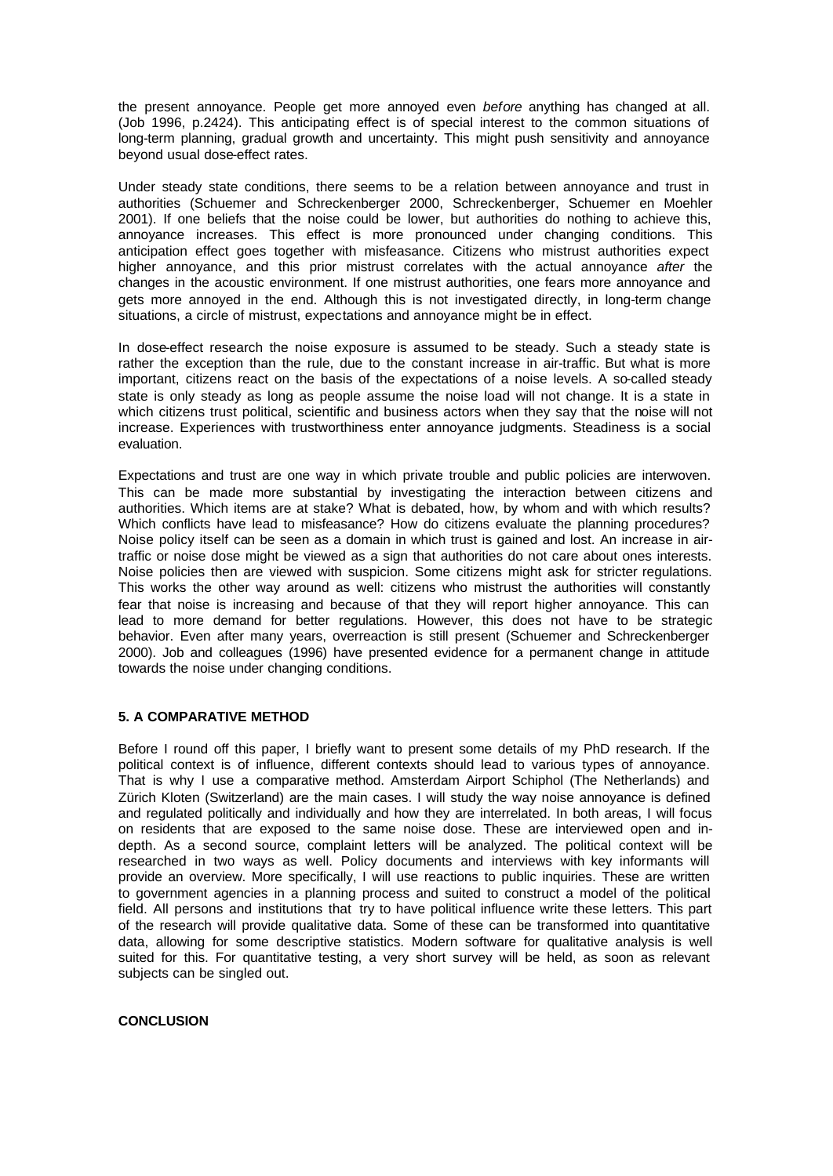the present annoyance. People get more annoyed even *before* anything has changed at all. (Job 1996, p.2424). This anticipating effect is of special interest to the common situations of long-term planning, gradual growth and uncertainty. This might push sensitivity and annoyance beyond usual dose-effect rates.

Under steady state conditions, there seems to be a relation between annoyance and trust in authorities (Schuemer and Schreckenberger 2000, Schreckenberger, Schuemer en Moehler 2001). If one beliefs that the noise could be lower, but authorities do nothing to achieve this, annoyance increases. This effect is more pronounced under changing conditions. This anticipation effect goes together with misfeasance. Citizens who mistrust authorities expect higher annoyance, and this prior mistrust correlates with the actual annoyance *after* the changes in the acoustic environment. If one mistrust authorities, one fears more annoyance and gets more annoyed in the end. Although this is not investigated directly, in long-term change situations, a circle of mistrust, expectations and annoyance might be in effect.

In dose-effect research the noise exposure is assumed to be steady. Such a steady state is rather the exception than the rule, due to the constant increase in air-traffic. But what is more important, citizens react on the basis of the expectations of a noise levels. A so-called steady state is only steady as long as people assume the noise load will not change. It is a state in which citizens trust political, scientific and business actors when they say that the noise will not increase. Experiences with trustworthiness enter annoyance judgments. Steadiness is a social evaluation.

Expectations and trust are one way in which private trouble and public policies are interwoven. This can be made more substantial by investigating the interaction between citizens and authorities. Which items are at stake? What is debated, how, by whom and with which results? Which conflicts have lead to misfeasance? How do citizens evaluate the planning procedures? Noise policy itself can be seen as a domain in which trust is gained and lost. An increase in airtraffic or noise dose might be viewed as a sign that authorities do not care about ones interests. Noise policies then are viewed with suspicion. Some citizens might ask for stricter regulations. This works the other way around as well: citizens who mistrust the authorities will constantly fear that noise is increasing and because of that they will report higher annoyance. This can lead to more demand for better regulations. However, this does not have to be strategic behavior. Even after many years, overreaction is still present (Schuemer and Schreckenberger 2000). Job and colleagues (1996) have presented evidence for a permanent change in attitude towards the noise under changing conditions.

### **5. A COMPARATIVE METHOD**

Before I round off this paper, I briefly want to present some details of my PhD research. If the political context is of influence, different contexts should lead to various types of annoyance. That is why I use a comparative method. Amsterdam Airport Schiphol (The Netherlands) and Zürich Kloten (Switzerland) are the main cases. I will study the way noise annoyance is defined and regulated politically and individually and how they are interrelated. In both areas, I will focus on residents that are exposed to the same noise dose. These are interviewed open and indepth. As a second source, complaint letters will be analyzed. The political context will be researched in two ways as well. Policy documents and interviews with key informants will provide an overview. More specifically, I will use reactions to public inquiries. These are written to government agencies in a planning process and suited to construct a model of the political field. All persons and institutions that try to have political influence write these letters. This part of the research will provide qualitative data. Some of these can be transformed into quantitative data, allowing for some descriptive statistics. Modern software for qualitative analysis is well suited for this. For quantitative testing, a very short survey will be held, as soon as relevant subjects can be singled out.

# **CONCLUSION**